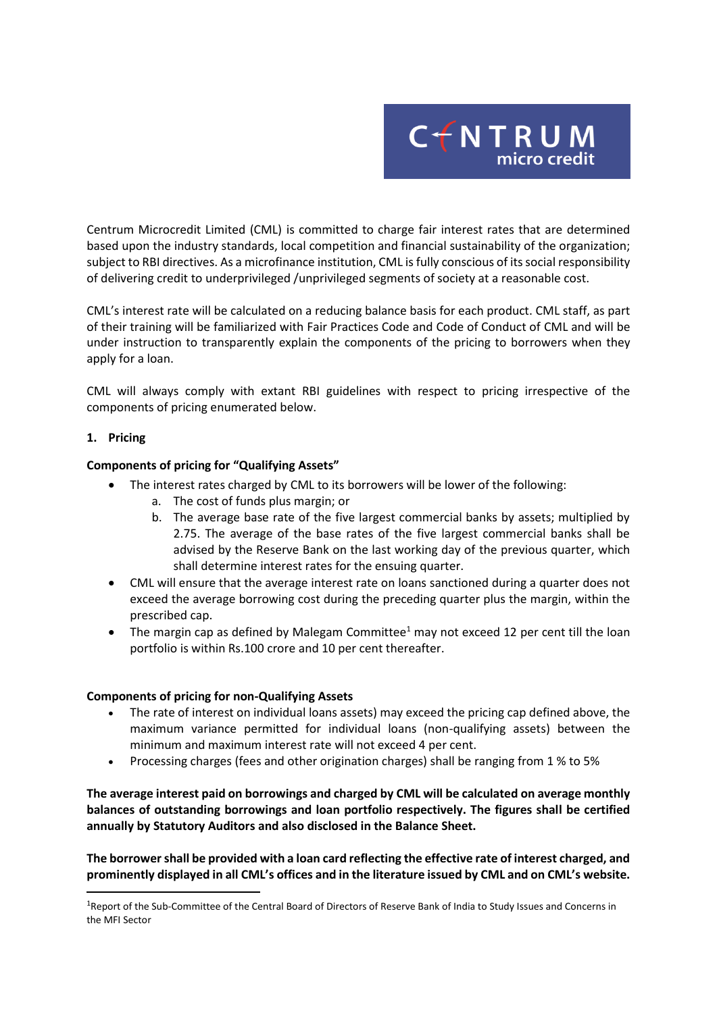

Centrum Microcredit Limited (CML) is committed to charge fair interest rates that are determined based upon the industry standards, local competition and financial sustainability of the organization; subject to RBI directives. As a microfinance institution, CML is fully conscious of its social responsibility of delivering credit to underprivileged /unprivileged segments of society at a reasonable cost.

CML's interest rate will be calculated on a reducing balance basis for each product. CML staff, as part of their training will be familiarized with Fair Practices Code and Code of Conduct of CML and will be under instruction to transparently explain the components of the pricing to borrowers when they apply for a loan.

CML will always comply with extant RBI guidelines with respect to pricing irrespective of the components of pricing enumerated below.

## **1. Pricing**

**.** 

## **Components of pricing for "Qualifying Assets"**

- The interest rates charged by CML to its borrowers will be lower of the following:
	- a. The cost of funds plus margin; or
	- b. The average base rate of the five largest commercial banks by assets; multiplied by 2.75. The average of the base rates of the five largest commercial banks shall be advised by the Reserve Bank on the last working day of the previous quarter, which shall determine interest rates for the ensuing quarter.
- CML will ensure that the average interest rate on loans sanctioned during a quarter does not exceed the average borrowing cost during the preceding quarter plus the margin, within the prescribed cap.
- The margin cap as defined by Malegam Committee<sup>1</sup> may not exceed 12 per cent till the loan portfolio is within Rs.100 crore and 10 per cent thereafter.

## **Components of pricing for non-Qualifying Assets**

- The rate of interest on individual loans assets) may exceed the pricing cap defined above, the maximum variance permitted for individual loans (non-qualifying assets) between the minimum and maximum interest rate will not exceed 4 per cent.
- Processing charges (fees and other origination charges) shall be ranging from 1 % to 5%

**The average interest paid on borrowings and charged by CML will be calculated on average monthly balances of outstanding borrowings and loan portfolio respectively. The figures shall be certified annually by Statutory Auditors and also disclosed in the Balance Sheet.**

**The borrower shall be provided with a loan card reflecting the effective rate of interest charged, and prominently displayed in all CML's offices and in the literature issued by CML and on CML's website.**

<sup>&</sup>lt;sup>1</sup>Report of the Sub-Committee of the Central Board of Directors of Reserve Bank of India to Study Issues and Concerns in the MFI Sector